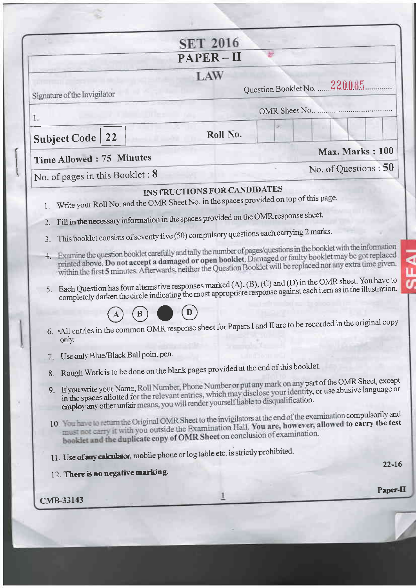|                                 |                                     | <b>SET 2016</b>                                                                                                                                                               |                                                                                                                                                                                                                                                                                                                                                                                                                                                                                                                                                                              |
|---------------------------------|-------------------------------------|-------------------------------------------------------------------------------------------------------------------------------------------------------------------------------|------------------------------------------------------------------------------------------------------------------------------------------------------------------------------------------------------------------------------------------------------------------------------------------------------------------------------------------------------------------------------------------------------------------------------------------------------------------------------------------------------------------------------------------------------------------------------|
|                                 |                                     | PAPER-II                                                                                                                                                                      |                                                                                                                                                                                                                                                                                                                                                                                                                                                                                                                                                                              |
| Signature of the Invigilator    |                                     | LAW                                                                                                                                                                           | Question Booklet No. 220085                                                                                                                                                                                                                                                                                                                                                                                                                                                                                                                                                  |
|                                 |                                     |                                                                                                                                                                               |                                                                                                                                                                                                                                                                                                                                                                                                                                                                                                                                                                              |
| 1.<br><b>Subject Code</b>       | 22                                  | Roll No.                                                                                                                                                                      |                                                                                                                                                                                                                                                                                                                                                                                                                                                                                                                                                                              |
| Time Allowed: 75 Minutes        |                                     |                                                                                                                                                                               | Max. Marks: 100                                                                                                                                                                                                                                                                                                                                                                                                                                                                                                                                                              |
| No. of pages in this Booklet: 8 |                                     |                                                                                                                                                                               | No. of Questions : 50                                                                                                                                                                                                                                                                                                                                                                                                                                                                                                                                                        |
| 1.                              |                                     | <b>INSTRUCTIONS FOR CANDIDATES</b><br>Write your Roll No. and the OMR Sheet No. in the spaces provided on top of this page.                                                   |                                                                                                                                                                                                                                                                                                                                                                                                                                                                                                                                                                              |
| 2.<br>3.<br>4.<br>5.            |                                     | Fill in the necessary information in the spaces provided on the OMR response sheet.<br>This booklet consists of seventy five (50) compulsory questions each carrying 2 marks. | Examine the question booklet carefully and tally the number of pages/questions in the booklet with the information<br>printed above. Do not accept a damaged or open booklet. Damaged or faulty booklet may be got replaced<br>within the first 5 minutes. Afterwards, neither the Question Booklet will be replaced nor any extra time given.<br>Each Question has four alternative responses marked (A), (B), (C) and (D) in the OMR sheet. You have to<br>completely darken the circle indicating the most appropriate response against each item as in the illustration. |
| only.                           |                                     |                                                                                                                                                                               | 6. All entries in the common OMR response sheet for Papers I and II are to be recorded in the original copy                                                                                                                                                                                                                                                                                                                                                                                                                                                                  |
|                                 | Use only Blue/Black Ball point pen. | 8. Rough Work is to be done on the blank pages provided at the end of this booklet.                                                                                           | 9. If you write your Name, Roll Number, Phone Number or put any mark on any part of the OMR Sheet, except<br>in the spaces allotted for the relevant entries, which may disclose your identity, or use abusive language or                                                                                                                                                                                                                                                                                                                                                   |
|                                 |                                     |                                                                                                                                                                               |                                                                                                                                                                                                                                                                                                                                                                                                                                                                                                                                                                              |
|                                 |                                     | employ any other unfair means, you will render yourself liable to disqualification.<br>booklet and the duplicate copy of OMR Sheet on conclusion of examination.              | 10. The have to return the Original OMR Sheet to the invigilators at the end of the examination compulsorily and<br>must not carry it with you outside the Examination Hall. You are, however, allowed to carry the test                                                                                                                                                                                                                                                                                                                                                     |
|                                 |                                     | 11. Use of any calculator, mobile phone or log table etc. is strictly prohibited.                                                                                             |                                                                                                                                                                                                                                                                                                                                                                                                                                                                                                                                                                              |
|                                 | 12. There is no negative marking.   |                                                                                                                                                                               | $22 - 16$                                                                                                                                                                                                                                                                                                                                                                                                                                                                                                                                                                    |

÷,

 $\overline{A}$ 

×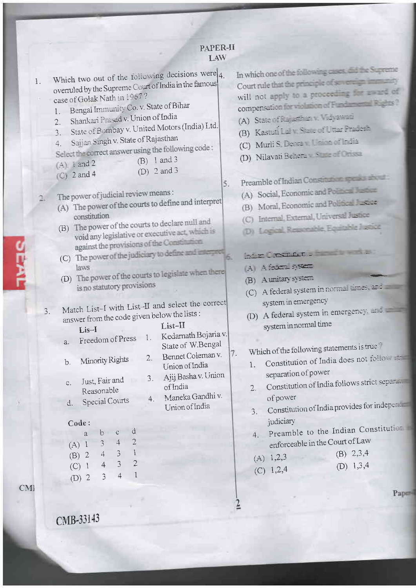| Which two out of the following decisions were $_4$ .<br>1.<br>overruled by the Supreme Court of India in the famous<br>case of Golak Nath in 1207?<br>Bengal Immunity Co. v. State of Bihar<br>1.<br>Shankari Prasad v. Union of India<br>2.<br>State of Bombay v. United Motors (India) Ltd.<br>$\mathfrak{Z}.$<br>Sajjan Singh v. State of Rajasthan<br>4.<br>Select the correct answer using the following code:<br>$(B)$ 1 and 3<br>$(A)$ i and 2<br>(D) $2$ and $3$<br>$\mathbb{C}$ 2 and 4<br>The power of judicial review means:<br>(A) The power of the courts to define and interpret<br>constitution<br>(B) The power of the courts to declare null and<br>void any legislative or executive act, which is<br>against the provisions of the Constitution<br>(C) The power of the judiciary to define and inter-<br>laws<br>(D) The power of the courts to legislate when there<br>is no statutory provisions<br>Match List-I with List-II and select the correct<br>3.<br>answer from the code given below the lists :<br>List-II<br>$List-I$<br>Kedarnath Bojaria v.<br>1.<br>Freedom of Press<br>a.<br>State of W.Bengal<br>Bennet Coleman v.<br>2.<br>Minority Rights<br>b.<br>Union of India<br>3. Ajij Basha v. Union<br>Just, Fair and<br>C.<br>of India<br>Reasonable<br>Maneka Gandhi v.<br>4.<br><b>Special Courts</b><br>d.<br>Union of India<br>Code:<br>đ<br>$\mathbb{C}$<br>$\mathbf b$<br>a<br>$\overline{2}$<br>$\downarrow$<br>$\mathfrak{Z}$<br>$(A)$ 1<br>$\mathbf{1}$<br>$\mathfrak{Z}$<br>$\overline{4}$<br>$(B)$ 2<br>$\overline{3}$<br>$\overline{2}$<br>$\overline{4}$<br>$(C)$ 1<br>$\mathfrak{Z}$<br>$\overline{4}$<br>$\mathbf{1}$<br>$(D)$ 2 | In which one of the following cases. Ed the Supreme<br>Court rule that the principle of severeign in many<br>will not apply to a proceeding for award of<br>compensation for violation of Fundamental Register<br>(A) State of Purpose and an and<br>(B) Kastuti La Y State (Filitar Pracess,<br>(C) Murli S. Dears Inc. and The 12<br>(D) Nilavati Behera Santa Che<br>Preamble of Indian Constitution speaks after<br>5.<br>(A) Social, Economic and Police and<br>Moral, Economic and Political License<br>(B)<br>Internal, External, Universal Justice<br>(D) Logical Reasonable Equitable Justice<br>har Costing . The contract<br>A Afaire system<br>(B) A unitary system<br>(C) A federal system in normal times, and<br>system in emergency<br>A federal system in emergency.<br>(D)<br>system in normal time<br>Which of the following statements is true?<br>7.<br>Constitution of India does not follows<br>1.<br>separation of power<br>Constitution of India follows strict separation<br>2.<br>of power<br>Constitution of India provides for independing<br>3.<br>judiciary<br>Preamble to the Indian Constitution<br>4.<br>enforceable in the Court of Law<br>$(B)$ 2,3,4<br>$(A)$ 1,2,3<br>(D) $1,3,4$<br>$(C)$ 1,2,4 |
|-----------------------------------------------------------------------------------------------------------------------------------------------------------------------------------------------------------------------------------------------------------------------------------------------------------------------------------------------------------------------------------------------------------------------------------------------------------------------------------------------------------------------------------------------------------------------------------------------------------------------------------------------------------------------------------------------------------------------------------------------------------------------------------------------------------------------------------------------------------------------------------------------------------------------------------------------------------------------------------------------------------------------------------------------------------------------------------------------------------------------------------------------------------------------------------------------------------------------------------------------------------------------------------------------------------------------------------------------------------------------------------------------------------------------------------------------------------------------------------------------------------------------------------------------------------------------------------------------------------------------------------------------------------------------------------|----------------------------------------------------------------------------------------------------------------------------------------------------------------------------------------------------------------------------------------------------------------------------------------------------------------------------------------------------------------------------------------------------------------------------------------------------------------------------------------------------------------------------------------------------------------------------------------------------------------------------------------------------------------------------------------------------------------------------------------------------------------------------------------------------------------------------------------------------------------------------------------------------------------------------------------------------------------------------------------------------------------------------------------------------------------------------------------------------------------------------------------------------------------------------------------------------------------------------------------|
|                                                                                                                                                                                                                                                                                                                                                                                                                                                                                                                                                                                                                                                                                                                                                                                                                                                                                                                                                                                                                                                                                                                                                                                                                                                                                                                                                                                                                                                                                                                                                                                                                                                                                   | Paper                                                                                                                                                                                                                                                                                                                                                                                                                                                                                                                                                                                                                                                                                                                                                                                                                                                                                                                                                                                                                                                                                                                                                                                                                                  |

CMB-33143

**PEAT** 

 $\overline{C}$ 

Pape<sup>1</sup>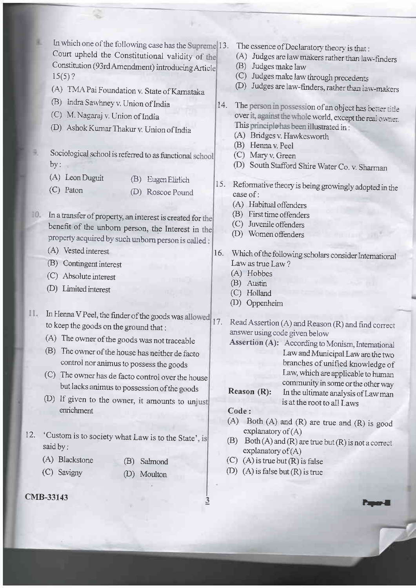In which one of the following case has the Supreme 13. Court upheld the Constitutional validity of the <sup>C</sup>onstitution (93rd Amendment) introducing Articl  $15(5)$ ?

- (A) TMA Pai Foundation v. State of Karnataka
- (B) Indra Sawhney v. Union of India
- (C) M. Nagaraj v. Union of India
- (D) Ashok Kumar Thakur v. Union of India
- Sociological school is referred to as functional school  $by:$ 
	- (A) Leon Duguit (B) Eugen Elirlich
	- (C) Paton
- (D) Roscoe Pound
- 10. In a transfer of property, an interest is created for the benefit of the unbom person, the Interest in property acquired by such unbom person is called :
	- (A) Vested interest
	- @) Contingent interest
	- (C) Absolute interest
	- (D) Limited interest
- II. In Henna V Peel, the finder of the goods was allowed to keep the goods on the ground that :
	- (A) The owner ofthe goods was not traceable
	- (B) The owner of the house has neither de facto control nor animus to possess the goods
	- (C) The owner has de facto control over the house but lacks animus to possession of the goods
	- (D) If given to the owner, it amounts to unjust enrichment
- 12. 'Custom is to society what Law is to the State' is said by :
	- (A) Blackstone
	- (C) Savigny
- @) Salmond @) Moulton
- cMB-33I43
- The essence of Declaratory theory is that :
- (A) Judges are law makers rather than law-finders
- (B) Judges make law
- (C) Judges make law through precedens
- (D) Judges are law-finders, rather than iaw-makers.
- 14. The person in possession of an object has better title over it, against the whole world, except the real owner.<br>This principlo has been illustrated in :
	- (A) Bridges v. Hawkesworth
	- (B) Henna v. Peel
	- (C) Mary v. Green
	- (D) South Stafford Shire Water Co. v. Sharman
- 15. Reformative theory is being growingly adopted in the case of:
	- (A) Habitual offenders
	- (B) First time offenders
	- (C) Juvenile offenders
	- (D) Women offenders
- <sup>1</sup>6. Which ofthe following scholars corsider Intemational Law as true Law?
	- (A) Hobbes
	- (B) Austin
	- (C) Holland
	- (D) Oppenheim

17. Read Assertion (A) and Reason (R) and find correct answer using code given below

Assertion (A): According to Monism, Intemational law and Municipal Law are the two branches of unified knowledge of Law, which are applicable to human ommunity in some or the other way **Reason (R):** In the ultimate analysis of Law man

i.<br>Ispa

## is at the root to all Laws

## Code :

 $\overline{3}$ 

- (A) Both (A) and (R) are true and  $(R)$  is good explanatory of  $(A)$
- (B) Both  $(A)$  and  $(R)$  are true but  $(R)$  is not a correct explanatory of  $(A)$
- (C) (A) is true but  $(R)$  is false
- (D) (A) is false but  $(R)$  is true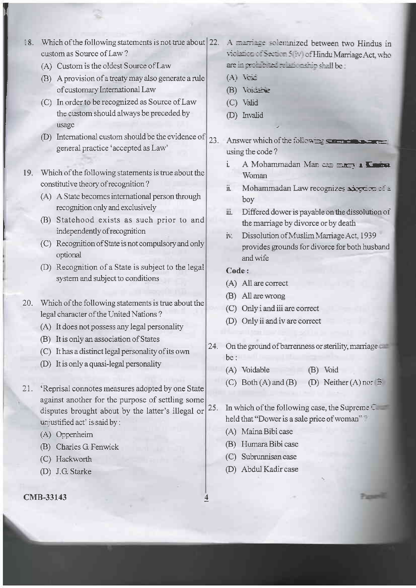- 18. Which of the following statements is not true about 22. custom as Source of Law?
	- (A) Custom is the oldest Source of Law
	- (B) A provision of a treaty may also generate a rule of customary International Law
	- (C) In order to be recognized as Source of Law the custom should always be preceded by usage
	- (D) International custom should be the evidence of  $23.$ general practice 'accepted as Law'
- 19. Which of the following statements is true about the constitutive theory of recognition?
	- (A) A State becomes international person through recognition only and exclusively
	- (B) Statehood exists as such prior to and independently of recognition
	- (C) Recognition of State is not compulsory and only optional
	- (D) Recognition of a State is subject to the legal system and subject to conditions
- 20. Which of the following statements is true about the legal character of the United Nations?
	- (A) It does not possess any legal personality
	- (B) It is only an association of States
	- (C) It has a distinct legal personality of its own
	- (D) It is only a quasi-legal personality
- Reprisal connotes measures adopted by one State 21. against another for the purpose of settling some disputes brought about by the latter's illegal or unjustified act' is said by :
	- (A) Oppenheim
	- (B) Charles G Fenwick
	- (C) Hackworth
	- (D) J.G. Starke

CMB-33143

- A marriage solemnized between two Hindus in violation of Section 5 (iv) of Hindu Marriage Act, who are in professed relationship shall be :
- $(A)$  Veki
- (B) Voicence
- (C) Valid
- (D) Invalid
- Answer which of the following someoned using the code?
	- ì A Mohammadan Man can marrie L'Orien Woman
	- Mohammadan Law recognizes adortion of a ii. boy
	- Differed dower is payable on the dissolution of  $\dddot{\mathbf{u}}$ the marriage by divorce or by death
	- Dissolution of Muslim Marriage Act, 1939 iv. provides grounds for divorce for both husband and wife

## Code:

- (A) All are correct
- (B) All are wrong
- (C) Only i and iii are correct
- (D) Only ii and iv are correct
- 24. On the ground of barrenness or sterility, marriage  $he:$ 
	- (A) Voidable (B) Void
	- $(C)$  Both  $(A)$  and  $(B)$ (D) Neither  $(A)$  nor  $\overline{B}$
- In which of the following case, the Supreme  $\mathbb{C}$ 25. held that "Dower is a sale price of woman"?

**Parameter** 

- (A) Maina Bibi case
- (B) Humara Bibi case
- (C) Subrunnisan case
- (D) Abdul Kadir case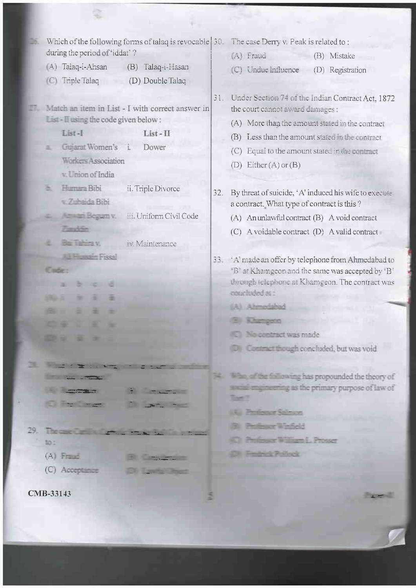| Which of the following forms of talaq is revocable 30. The case Derry v. Peak is related to:<br>during the period of 'iddat'?<br>(A) Talaq-i-Ahsan<br>Talaq-i-Hasan<br>(B)                                                           |                                          |     |                                                                                                                                                                                                                                                      |
|--------------------------------------------------------------------------------------------------------------------------------------------------------------------------------------------------------------------------------------|------------------------------------------|-----|------------------------------------------------------------------------------------------------------------------------------------------------------------------------------------------------------------------------------------------------------|
|                                                                                                                                                                                                                                      |                                          |     | (A) Fraud<br>(B) Mistake                                                                                                                                                                                                                             |
|                                                                                                                                                                                                                                      |                                          |     | (C) Undue Influence<br>(D) Registration                                                                                                                                                                                                              |
| (C) Triple Talaq                                                                                                                                                                                                                     | (D) Double Talaq                         |     |                                                                                                                                                                                                                                                      |
| Match an item in List - I with correct answer in<br>List - II using the code given below:<br>List-I<br>$List - II$<br>Gujarat Women's i.<br>Dower<br><b>Workers Association</b>                                                      |                                          |     | 31. Under Section 74 of the Indian Contract Act, 1872<br>the court cannot award damages :<br>(A) More than the amount stated in the contract<br>Less than the amount stated in the contract<br>(B)<br>(C) Equal to the amount stated in the contract |
| v. Union of India                                                                                                                                                                                                                    |                                          |     | (D) Either $(A)$ or $(B)$                                                                                                                                                                                                                            |
| Humara Bibi<br>v Zubaida Bibi                                                                                                                                                                                                        | ii. Triple Divorce                       | 32. | By threat of suicide, 'A' induced his wife to execute<br>a contract. What type of contract is this?                                                                                                                                                  |
| Amazi Begam v.                                                                                                                                                                                                                       | iii Uniform Civil Code                   |     | (A) An unlawful contract (B) A void contract                                                                                                                                                                                                         |
| <b>Tarylin</b>                                                                                                                                                                                                                       |                                          |     | $(C)$ A voidable contract $(D)$ A valid contract                                                                                                                                                                                                     |
| <b>Par Tahira v.</b>                                                                                                                                                                                                                 | in Maintenance                           |     |                                                                                                                                                                                                                                                      |
| <b>L'il Figuretin Piscal</b><br><b>Course</b>                                                                                                                                                                                        |                                          |     | 33 'A' made an offer by telephone from Ahmedabad to<br>"B" at Khamgeon and the same was accepted by 'B"<br>through telephone at Khamgeon. The contract was<br>consciuded as :                                                                        |
|                                                                                                                                                                                                                                      |                                          |     | (A) Ahmedahad                                                                                                                                                                                                                                        |
|                                                                                                                                                                                                                                      |                                          |     |                                                                                                                                                                                                                                                      |
|                                                                                                                                                                                                                                      |                                          |     | <b>No contract was made</b>                                                                                                                                                                                                                          |
|                                                                                                                                                                                                                                      |                                          |     |                                                                                                                                                                                                                                                      |
|                                                                                                                                                                                                                                      |                                          |     | 10 Contract though concluded, but was void                                                                                                                                                                                                           |
| <b>CONTRACTOR</b>                                                                                                                                                                                                                    |                                          |     |                                                                                                                                                                                                                                                      |
| <b>Contract Contract Contract Contract Contract Contract Contract Contract Contract Contract Contract Contract Contract Contract Contract Contract Contract Contract Contract Contract Contract Contract Contract Contract Contr</b> |                                          | 34. | Who, of the following has propounded the theory of                                                                                                                                                                                                   |
| <b>CONTRACT</b>                                                                                                                                                                                                                      | STATISTICS.                              |     | social engineering as the primary purpose of law of<br><b>Town</b> 2                                                                                                                                                                                 |
| <b>College Street</b>                                                                                                                                                                                                                | <b>CONTACT STATE</b>                     |     |                                                                                                                                                                                                                                                      |
|                                                                                                                                                                                                                                      |                                          |     | <b>K. Professor Salmon</b>                                                                                                                                                                                                                           |
|                                                                                                                                                                                                                                      | $29.$ The case of the first state $\sim$ |     | <b>B</b> Professor Windlebt                                                                                                                                                                                                                          |
| 50.5                                                                                                                                                                                                                                 |                                          |     | <b>C</b> Professor William L. Prosser                                                                                                                                                                                                                |
| $(A)$ $F = 1$                                                                                                                                                                                                                        | <b>Capture 19</b>                        |     | <b>City Product Pollock</b>                                                                                                                                                                                                                          |
| $(C)$ Acception                                                                                                                                                                                                                      | <b>CON Institute Don't</b>               |     |                                                                                                                                                                                                                                                      |
| CMB-33143                                                                                                                                                                                                                            |                                          |     | <b>Carry Comment</b>                                                                                                                                                                                                                                 |
|                                                                                                                                                                                                                                      |                                          |     |                                                                                                                                                                                                                                                      |

\$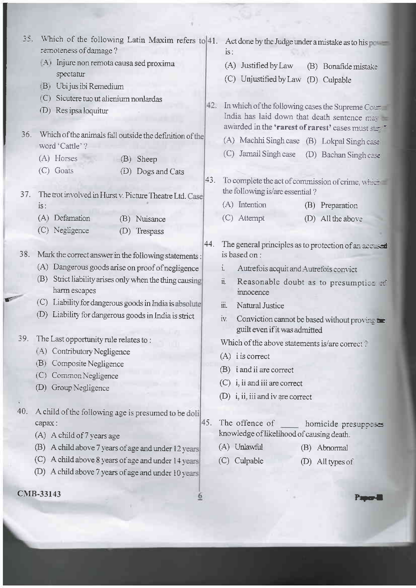| 35. | Which of the following Latin Maxim refers to 41.<br>remoteness of damage?  |     | Act done by the Judge under a mistake as to his<br>$iS$ :                                                                                                    |
|-----|----------------------------------------------------------------------------|-----|--------------------------------------------------------------------------------------------------------------------------------------------------------------|
|     | (A) Injure non remota causa sed proxima                                    |     | Justified by Law<br>(A)<br>(B) Bonafide mistake                                                                                                              |
|     | spectatur<br>(B) Ubi jus ibi Remedium                                      |     | Unjustified by Law<br>(C)<br>(D) Culpable                                                                                                                    |
|     | (C) Sicutere tuo ut alienium nonlardas<br>(D) Res ipsa loquitur            |     | 42. In which of the following cases the Supreme Constant<br>India has laid down that death sentence may<br>awarded in the 'rarest of rarest' cases must star |
| 36. | Which of the animals fall outside the definition of the<br>word 'Cattle' ? |     | (A) Machhi Singh case (B) Lokpal Singh case                                                                                                                  |
|     | (A) Horses<br>(B)<br>Sheep                                                 |     | Jamail Singh case<br>(C)<br>(D)<br>Bachan Singh case                                                                                                         |
|     | $(C)$ Goats<br>Dogs and Cats<br>(D)                                        |     |                                                                                                                                                              |
| 37. | The trot involved in Hurst v. Picture Theatre Ltd. Case                    | 43. | To complete the act of commission of crime, which<br>the following is/are essential?                                                                         |
|     | is:                                                                        |     | $(A)$ Intention<br>(B) Preparation                                                                                                                           |
|     | (A) Defamation<br>(B) Nuisance                                             |     | (C) Attempt<br>(D) All the above                                                                                                                             |
|     | (C) Negligence<br>Trespass<br>(D)                                          |     |                                                                                                                                                              |
| 38. | Mark the correct answer in the following statements:                       | 44. | The general principles as to protection of an accused<br>is based on:                                                                                        |
|     | (A) Dangerous goods arise on proof of negligence                           |     | $i_{\cdot}$<br>Autrefois acquit and Autrefois convict                                                                                                        |
|     | Strict liability arises only when the thing causing<br>(B)<br>harm escapes |     | $\ddot{\mathbf{u}}$<br>Reasonable doubt as to presumptica at<br>innocence                                                                                    |
|     | Liability for dangerous goods in India is absolute<br>(C)                  |     | $\dddot{\mathbf{m}}$<br>Natural Justice                                                                                                                      |
|     | (D)<br>Liability for dangerous goods in India is strict                    |     | iv.<br>Conviction cannot be based without proving the<br>guilt even if it was admitted                                                                       |
| 39. | The Last opportunity rule relates to:                                      |     | Which of the above statements is/are correct?                                                                                                                |
|     | (A) Contributory Negligence                                                |     | $(A)$ i is correct                                                                                                                                           |
|     | Composite Negligence<br>(B)<br>Common Negligence<br>(C)                    |     | (B) i and ii are correct                                                                                                                                     |
|     | Group Negligence<br>(D)                                                    |     | $(C)$ i, ii and iii are correct                                                                                                                              |
|     |                                                                            |     | (D) i, ii, iii and iv are correct                                                                                                                            |
| 40. | A child of the following age is presumed to be doli<br>capax:              | 45. | The offence of<br>homicide presuppases                                                                                                                       |
|     | (A) A child of 7 years age                                                 |     | knowledge of likelihood of causing death.                                                                                                                    |
|     | A child above 7 years of age and under 12 years<br>(B)                     |     | (A) Unlawful<br>(B) Abnormal                                                                                                                                 |
|     | A child above 8 years of age and under 14 years<br>(C)                     |     | Culpable<br>(C)<br>All types of<br>(D)                                                                                                                       |
|     | (D)<br>A child above 7 years of age and under 10 years                     |     |                                                                                                                                                              |
|     | CMB-33143                                                                  |     |                                                                                                                                                              |

**W** 

a